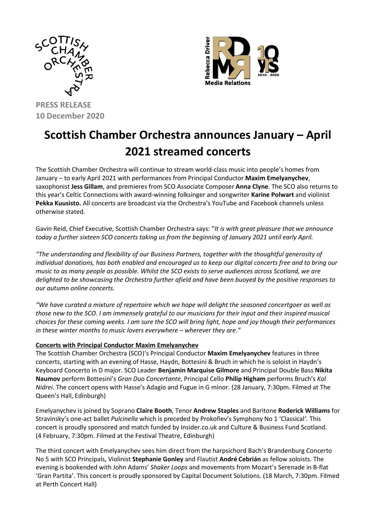



# **PRESS RELEASE 10 December 2020**

# **Scottish Chamber Orchestra announces January – April 2021 streamed concerts**

The Scottish Chamber Orchestra will continue to stream world-class music into people's homes from January – to early April 2021 with performances from Principal Conductor **Maxim Emelyanychev**, saxophonist **Jess Gillam**, and premieres from SCO Associate Composer **Anna Clyne**. The SCO also returns to this year's Celtic Connections with award-winning folksinger and songwriter **Karine Polwart** and violinist **Pekka Kuusisto.** All concerts are broadcast via the Orchestra's YouTube and Facebook channels unless otherwise stated.

Gavin Reid, Chief Executive, Scottish Chamber Orchestra says: "*It is with great pleasure that we announce today a further sixteen SCO concerts taking us from the beginning of January 2021 until early April.*

*"The understanding and flexibility of our Business Partners, together with the thoughtful generosity of individual donations, has both enabled and encouraged us to keep our digital concerts free and to bring our music to as many people as possible. Whilst the SCO exists to serve audiences across Scotland, we are delighted to be showcasing the Orchestra further afield and have been buoyed by the positive responses to our autumn online concerts.*

*"We have curated a mixture of repertoire which we hope will delight the seasoned concertgoer as well as those new to the SCO. I am immensely grateful to our musicians for their input and their inspired musical choices for these coming weeks. I am sure the SCO will bring light, hope and joy though their performances in these winter months to music lovers everywhere – wherever they are."*

# **Concerts with Principal Conductor Maxim Emelyanychev**

The Scottish Chamber Orchestra (SCO)'s Principal Conductor **Maxim Emelyanychev** features in three concerts, starting with an evening of Hasse, Haydn, Bottesini & Bruch in which he is soloist in Haydn's Keyboard Concerto in D major. SCO Leader **Benjamin Marquise Gilmore** and Principal Double Bass **Nikita Naumov** perform Bottesini's *Gran Duo Concertante*, Principal Cello **Philip Higham** performs Bruch's *Kol Nidrei*. The concert opens with Hasse's Adagio and Fugue in G minor. (28 January, 7:30pm. Filmed at The Queen's Hall, Edinburgh)

Emelyanychev is joined by Soprano **Claire Booth**, Tenor **Andrew Staples** and Baritone **Roderick Williams** for Stravinsky's one-act ballet *Pulcinella* which is preceded by Prokofiev's Symphony No 1 'Classical*'.* This concert is proudly sponsored and match funded by Insider.co.uk and Culture & Business Fund Scotland. (4 February, 7:30pm. Filmed at the Festival Theatre, Edinburgh)

The third concert with Emelyanychev sees him direct from the harpsichord Bach's Brandenburg Concerto No 5 with SCO Principals, Violinist **Stephanie Gonley** and Flautist **André Cebrián** as fellow soloists. The evening is bookended with John Adams' *Shaker Loops* and movements from Mozart's Serenade in B-flat 'Gran Partita'. This concert is proudly sponsored by Capital Document Solutions. (18 March, 7:30pm. Filmed at Perth Concert Hall)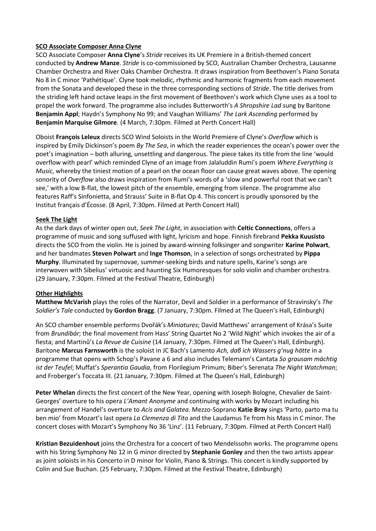#### **SCO Associate Composer Anna Clyne**

SCO Associate Composer **Anna Clyne**'s *Stride* receives its UK Premiere in a British-themed concert conducted by **Andrew Manze**. *Stride* is co-commissioned by SCO, Australian Chamber Orchestra, Lausanne Chamber Orchestra and River Oaks Chamber Orchestra. It draws inspiration from Beethoven's Piano Sonata No 8 in C minor 'Pathétique'. Clyne took melodic, rhythmic and harmonic fragments from each movement from the Sonata and developed these in the three corresponding sections of *Stride*. The title derives from the striding left hand octave leaps in the first movement of Beethoven's work which Clyne uses as a tool to propel the work forward. The programme also includes Butterworth's *A Shropshire Lad* sung by Baritone **Benjamin Appl**; Haydn's Symphony No 99; and Vaughan Williams' *The Lark Ascending* performed by **Benjamin Marquise Gilmore**. (4 March, 7:30pm. Filmed at Perth Concert Hall)

Oboist **François Leleux** directs SCO Wind Soloists in the World Premiere of Clyne's *Overflow* which is inspired by Emily Dickinson's poem *By The Sea*, in which the reader experiences the ocean's power over the poet's imagination – both alluring, unsettling and dangerous. The piece takes its title from the line 'would overflow with pearl' which reminded Clyne of an image from Jalaluddin Rumi's poem *Where Everything is Music*, whereby the tiniest motion of a pearl on the ocean floor can cause great waves above. The opening sonority of *Overflow* also draws inspiration from Rumi's words of a 'slow and powerful root that we can't see,' with a low B-flat, the lowest pitch of the ensemble, emerging from silence. The programme also features Raff's Sinfonietta, and Strauss' Suite in B-flat Op 4. This concert is proudly sponsored by the Institut français d'Écosse. (8 April, 7:30pm. Filmed at Perth Concert Hall)

#### **Seek The Light**

As the dark days of winter open out, *Seek The Light*, in association with **Celtic Connections**, offers a programme of music and song suffused with light, lyricism and hope. Finnish firebrand **Pekka Kuusisto**  directs the SCO from the violin. He is joined by award-winning folksinger and songwriter **Karine Polwart**, and her bandmates **Steven Polwart** and **Inge Thomson**, in a selection of songs orchestrated by **Pippa Murphy**. Illuminated by supernovae, summer-seeking birds and nature spells, Karine's songs are interwoven with Sibelius' virtuosic and haunting Six Humoresques for solo violin and chamber orchestra. (29 January, 7:30pm. Filmed at the Festival Theatre, Edinburgh)

#### **Other Highlights**

**Matthew McVarish** plays the roles of the Narrator, Devil and Soldier in a performance of Stravinsky's *The Soldier's Tale* conducted by **Gordon Bragg**. (7 January, 7:30pm. Filmed at The Queen's Hall, Edinburgh)

An SCO chamber ensemble performs Dvořák's *Miniatures*; David Matthews' arrangement of Krása's Suite from *Brundibár*; the final movement from Hass' String Quartet No 2 'Wild Night' which invokes the air of a fiesta; and Martinů's *La Revue de Cuisine* (14 January, 7:30pm. Filmed at The Queen's Hall, Edinburgh). Baritone **Marcus Farnsworth** is the soloist in JC Bach's Lamento *Ach, daβ ich Wassers g'nug hätte* in a programme that opens with Schop's Pavane a 6 and also includes Telemann's Cantata *So grausam mächtig ist der Teufel*; Muffat's *Sperantia Gaudia*, from Florilegium Primum; Biber's Serenata *The Night Watchman*; and Froberger's Toccata III. (21 January, 7:30pm. Filmed at The Queen's Hall, Edinburgh)

**Peter Whelan** directs the first concert of the New Year, opening with Joseph Bologne, Chevalier de Saint-Georges' overture to his opera *L'Amant Anonyme* and continuing with works by Mozart including his arrangement of Handel's overture to *Acis and Galatea*. Mezzo-Soprano **Katie Bray** sings 'Parto, parto ma tu ben mio' from Mozart's last opera *La Clemenza di Tito* and the Laudamus Te from his Mass in C minor. The concert closes with Mozart's Symphony No 36 'Linz'. (11 February, 7:30pm. Filmed at Perth Concert Hall)

**Kristian Bezuidenhout** joins the Orchestra for a concert of two Mendelssohn works. The programme opens with his String Symphony No 12 in G minor directed by **Stephanie Gonley** and then the two artists appear as joint soloists in his Concerto in D minor for Violin, Piano & Strings. This concert is kindly supported by Colin and Sue Buchan. (25 February, 7:30pm. Filmed at the Festival Theatre, Edinburgh)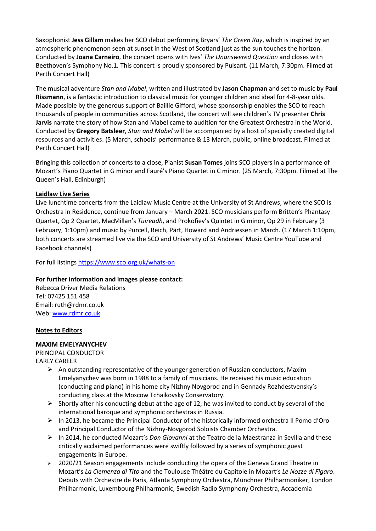Saxophonist **Jess Gillam** makes her SCO debut performing Bryars' *The Green Ray*, which is inspired by an atmospheric phenomenon seen at sunset in the West of Scotland just as the sun touches the horizon. Conducted by **Joana Carneiro**, the concert opens with Ives' *The Unanswered Question* and closes with Beethoven's Symphony No.1*.* This concert is proudly sponsored by Pulsant. (11 March, 7:30pm. Filmed at Perth Concert Hall)

The musical adventure *Stan and Mabel*, written and illustrated by **Jason Chapman** and set to music by **Paul Rissmann**, is a fantastic introduction to classical music for younger children and ideal for 4-8-year olds. Made possible by the generous support of Baillie Gifford, whose sponsorship enables the SCO to reach thousands of people in communities across Scotland, the concert will see children's TV presenter **Chris Jarvis** narrate the story of how Stan and Mabel came to audition for the Greatest Orchestra in the World. Conducted by **Gregory Batsleer**, *Stan and Mabel* will be accompanied by a host of specially created digital resources and activities. (5 March, schools' performance & 13 March, public, online broadcast. Filmed at Perth Concert Hall)

Bringing this collection of concerts to a close, Pianist **Susan Tomes** joins SCO players in a performance of Mozart's Piano Quartet in G minor and Fauré's Piano Quartet in C minor. (25 March, 7:30pm. Filmed at The Queen's Hall, Edinburgh)

# **Laidlaw Live Series**

Live lunchtime concerts from the Laidlaw Music Centre at the University of St Andrews, where the SCO is Orchestra in Residence, continue from January – March 2021. SCO musicians perform Britten's Phantasy Quartet, Op 2 Quartet, MacMillan's *Tuireadh*, and Prokofiev's Quintet in G minor, Op 29 in February (3 February, 1:10pm) and music by Purcell, Reich, Pärt, Howard and Andriessen in March. (17 March 1:10pm, both concerts are streamed live via the SCO and University of St Andrews' Music Centre YouTube and Facebook channels)

For full listings<https://www.sco.org.uk/whats-on>

# **For further information and images please contact:**

Rebecca Driver Media Relations Tel: 07425 151 458 Email: ruth@rdmr.co.uk Web: [www.rdmr.co.uk](http://www.rdmr.co.uk/)

# **Notes to Editors**

# **MAXIM EMELYANYCHEV**

PRINCIPAL CONDUCTOR EARLY CAREER

- $\triangleright$  An outstanding representative of the younger generation of Russian conductors, Maxim Emelyanychev was born in 1988 to a family of musicians. He received his music education (conducting and piano) in his home city Nizhny Novgorod and in Gennady Rozhdestvensky's conducting class at the Moscow Tchaikovsky Conservatory.
- $\triangleright$  Shortly after his conducting debut at the age of 12, he was invited to conduct by several of the international baroque and symphonic orchestras in Russia.
- ➢ In 2013, he became the Principal Conductor of the historically informed orchestra Il Pomo d'Oro and Principal Conductor of the Nizhny-Novgorod Soloists Chamber Orchestra.
- ➢ In 2014, he conducted Mozart's *Don Giovanni* at the Teatro de la Maestranza in Sevilla and these critically acclaimed performances were swiftly followed by a series of symphonic guest engagements in Europe.
- $\geq$  2020/21 Season engagements include conducting the opera of the Geneva Grand Theatre in Mozart's *La Clemenza di Tito* and the Toulouse Théâtre du Capitole in Mozart's *Le Nozze di Figaro*. Debuts with Orchestre de Paris, Atlanta Symphony Orchestra, Münchner Philharmoniker, London Philharmonic, Luxembourg Philharmonic, Swedish Radio Symphony Orchestra, Accademia